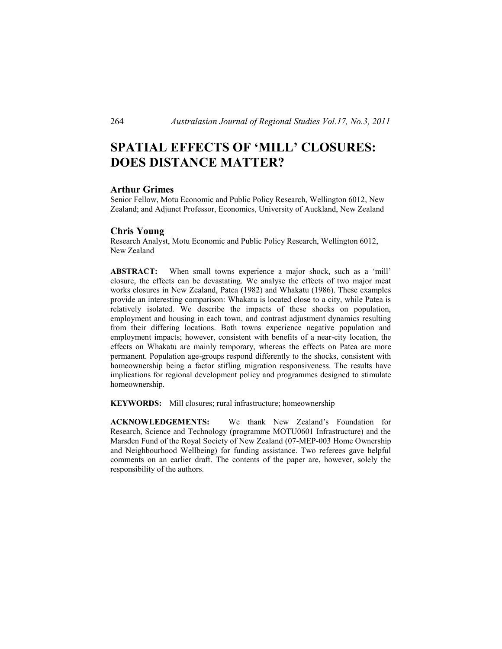# **SPATIAL EFFECTS OF 'MILL' CLOSURES: DOES DISTANCE MATTER?**

### **Arthur Grimes**

Senior Fellow, Motu Economic and Public Policy Research, Wellington 6012, New Zealand; and Adjunct Professor, Economics, University of Auckland, New Zealand

#### **Chris Young**

Research Analyst, Motu Economic and Public Policy Research, Wellington 6012, New Zealand

**ABSTRACT:** When small towns experience a major shock, such as a 'mill' closure, the effects can be devastating. We analyse the effects of two major meat works closures in New Zealand, Patea (1982) and Whakatu (1986). These examples provide an interesting comparison: Whakatu is located close to a city, while Patea is relatively isolated. We describe the impacts of these shocks on population, employment and housing in each town, and contrast adjustment dynamics resulting from their differing locations. Both towns experience negative population and employment impacts; however, consistent with benefits of a near-city location, the effects on Whakatu are mainly temporary, whereas the effects on Patea are more permanent. Population age-groups respond differently to the shocks, consistent with homeownership being a factor stifling migration responsiveness. The results have implications for regional development policy and programmes designed to stimulate homeownership.

**KEYWORDS:** Mill closures; rural infrastructure; homeownership

**ACKNOWLEDGEMENTS:** We thank New Zealand's Foundation for Research, Science and Technology (programme MOTU0601 Infrastructure) and the Marsden Fund of the Royal Society of New Zealand (07-MEP-003 Home Ownership and Neighbourhood Wellbeing) for funding assistance. Two referees gave helpful comments on an earlier draft. The contents of the paper are, however, solely the responsibility of the authors.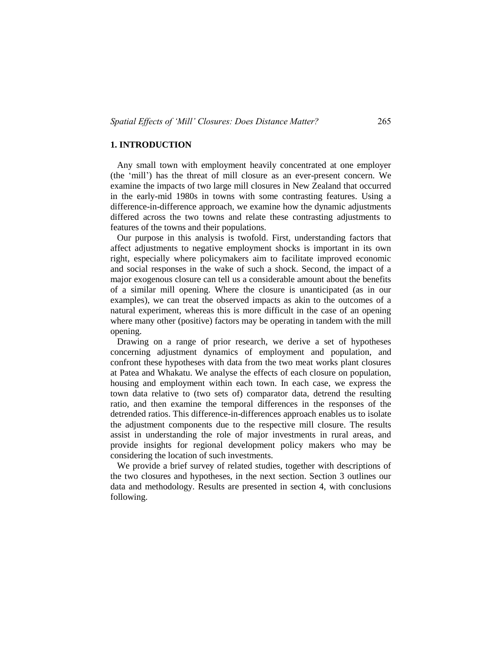### **1. INTRODUCTION**

 Any small town with employment heavily concentrated at one employer (the 'mill') has the threat of mill closure as an ever-present concern. We examine the impacts of two large mill closures in New Zealand that occurred in the early-mid 1980s in towns with some contrasting features. Using a difference-in-difference approach, we examine how the dynamic adjustments differed across the two towns and relate these contrasting adjustments to features of the towns and their populations.

 Our purpose in this analysis is twofold. First, understanding factors that affect adjustments to negative employment shocks is important in its own right, especially where policymakers aim to facilitate improved economic and social responses in the wake of such a shock. Second, the impact of a major exogenous closure can tell us a considerable amount about the benefits of a similar mill opening. Where the closure is unanticipated (as in our examples), we can treat the observed impacts as akin to the outcomes of a natural experiment, whereas this is more difficult in the case of an opening where many other (positive) factors may be operating in tandem with the mill opening.

 Drawing on a range of prior research, we derive a set of hypotheses concerning adjustment dynamics of employment and population, and confront these hypotheses with data from the two meat works plant closures at Patea and Whakatu. We analyse the effects of each closure on population, housing and employment within each town. In each case, we express the town data relative to (two sets of) comparator data, detrend the resulting ratio, and then examine the temporal differences in the responses of the detrended ratios. This difference-in-differences approach enables us to isolate the adjustment components due to the respective mill closure. The results assist in understanding the role of major investments in rural areas, and provide insights for regional development policy makers who may be considering the location of such investments.

 We provide a brief survey of related studies, together with descriptions of the two closures and hypotheses, in the next section. Section 3 outlines our data and methodology. Results are presented in section 4, with conclusions following.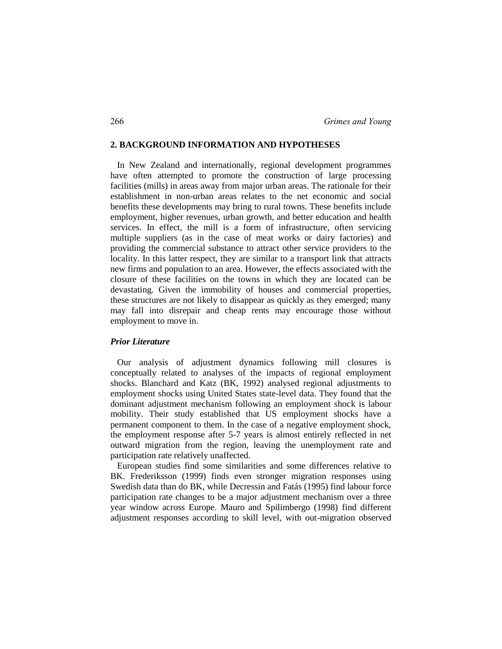#### **2. BACKGROUND INFORMATION AND HYPOTHESES**

 In New Zealand and internationally, regional development programmes have often attempted to promote the construction of large processing facilities (mills) in areas away from major urban areas. The rationale for their establishment in non-urban areas relates to the net economic and social benefits these developments may bring to rural towns. These benefits include employment, higher revenues, urban growth, and better education and health services. In effect, the mill is a form of infrastructure, often servicing multiple suppliers (as in the case of meat works or dairy factories) and providing the commercial substance to attract other service providers to the locality. In this latter respect, they are similar to a transport link that attracts new firms and population to an area. However, the effects associated with the closure of these facilities on the towns in which they are located can be devastating. Given the immobility of houses and commercial properties, these structures are not likely to disappear as quickly as they emerged; many may fall into disrepair and cheap rents may encourage those without employment to move in.

### *Prior Literature*

 Our analysis of adjustment dynamics following mill closures is conceptually related to analyses of the impacts of regional employment shocks. Blanchard and Katz (BK, 1992) analysed regional adjustments to employment shocks using United States state-level data. They found that the dominant adjustment mechanism following an employment shock is labour mobility. Their study established that US employment shocks have a permanent component to them. In the case of a negative employment shock, the employment response after 5-7 years is almost entirely reflected in net outward migration from the region, leaving the unemployment rate and participation rate relatively unaffected.

 European studies find some similarities and some differences relative to BK. Frederiksson (1999) finds even stronger migration responses using Swedish data than do BK, while Decressin and Fatás (1995) find labour force participation rate changes to be a major adjustment mechanism over a three year window across Europe. Mauro and Spilimbergo (1998) find different adjustment responses according to skill level, with out-migration observed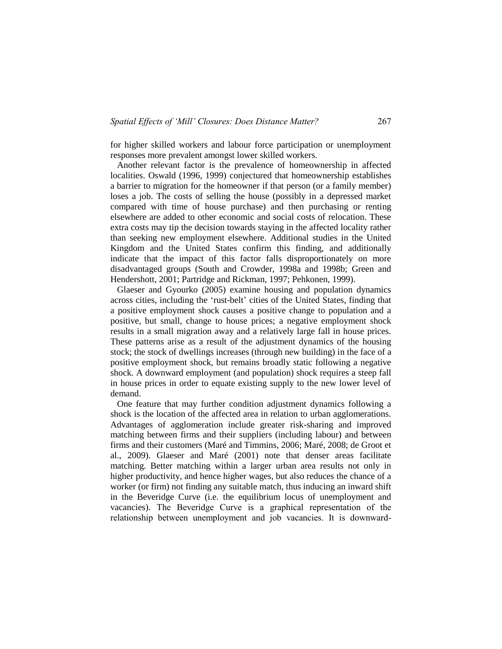for higher skilled workers and labour force participation or unemployment responses more prevalent amongst lower skilled workers.

 Another relevant factor is the prevalence of homeownership in affected localities. Oswald (1996, 1999) conjectured that homeownership establishes a barrier to migration for the homeowner if that person (or a family member) loses a job. The costs of selling the house (possibly in a depressed market compared with time of house purchase) and then purchasing or renting elsewhere are added to other economic and social costs of relocation. These extra costs may tip the decision towards staying in the affected locality rather than seeking new employment elsewhere. Additional studies in the United Kingdom and the United States confirm this finding, and additionally indicate that the impact of this factor falls disproportionately on more disadvantaged groups (South and Crowder, 1998a and 1998b; Green and Hendershott, 2001; Partridge and Rickman, 1997; Pehkonen, 1999).

 Glaeser and Gyourko (2005) examine housing and population dynamics across cities, including the 'rust-belt' cities of the United States, finding that a positive employment shock causes a positive change to population and a positive, but small, change to house prices; a negative employment shock results in a small migration away and a relatively large fall in house prices. These patterns arise as a result of the adjustment dynamics of the housing stock; the stock of dwellings increases (through new building) in the face of a positive employment shock, but remains broadly static following a negative shock. A downward employment (and population) shock requires a steep fall in house prices in order to equate existing supply to the new lower level of demand.

 One feature that may further condition adjustment dynamics following a shock is the location of the affected area in relation to urban agglomerations. Advantages of agglomeration include greater risk-sharing and improved matching between firms and their suppliers (including labour) and between firms and their customers (Maré and Timmins, 2006; Maré, 2008; de Groot et al., 2009). Glaeser and Maré (2001) note that denser areas facilitate matching. Better matching within a larger urban area results not only in higher productivity, and hence higher wages, but also reduces the chance of a worker (or firm) not finding any suitable match, thus inducing an inward shift in the Beveridge Curve (i.e. the equilibrium locus of unemployment and vacancies). The Beveridge Curve is a graphical representation of the relationship between unemployment and job vacancies. It is downward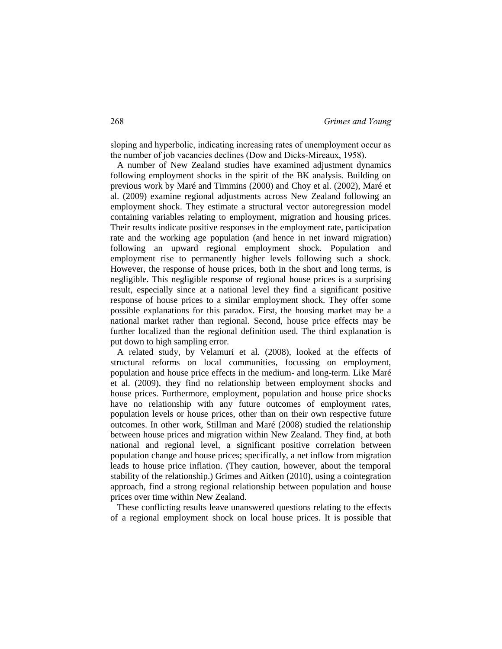sloping and hyperbolic, indicating increasing rates of unemployment occur as the number of job vacancies declines (Dow and Dicks-Mireaux, 1958).

 A number of New Zealand studies have examined adjustment dynamics following employment shocks in the spirit of the BK analysis. Building on previous work by Maré and Timmins (2000) and Choy et al. (2002), Maré et al. (2009) examine regional adjustments across New Zealand following an employment shock. They estimate a structural vector autoregression model containing variables relating to employment, migration and housing prices. Their results indicate positive responses in the employment rate, participation rate and the working age population (and hence in net inward migration) following an upward regional employment shock. Population and employment rise to permanently higher levels following such a shock. However, the response of house prices, both in the short and long terms, is negligible. This negligible response of regional house prices is a surprising result, especially since at a national level they find a significant positive response of house prices to a similar employment shock. They offer some possible explanations for this paradox. First, the housing market may be a national market rather than regional. Second, house price effects may be further localized than the regional definition used. The third explanation is put down to high sampling error.

 A related study, by Velamuri et al. (2008), looked at the effects of structural reforms on local communities, focussing on employment, population and house price effects in the medium- and long-term. Like Maré et al. (2009), they find no relationship between employment shocks and house prices. Furthermore, employment, population and house price shocks have no relationship with any future outcomes of employment rates, population levels or house prices, other than on their own respective future outcomes. In other work, Stillman and Maré (2008) studied the relationship between house prices and migration within New Zealand. They find, at both national and regional level, a significant positive correlation between population change and house prices; specifically, a net inflow from migration leads to house price inflation. (They caution, however, about the temporal stability of the relationship.) Grimes and Aitken (2010), using a cointegration approach, find a strong regional relationship between population and house prices over time within New Zealand.

 These conflicting results leave unanswered questions relating to the effects of a regional employment shock on local house prices. It is possible that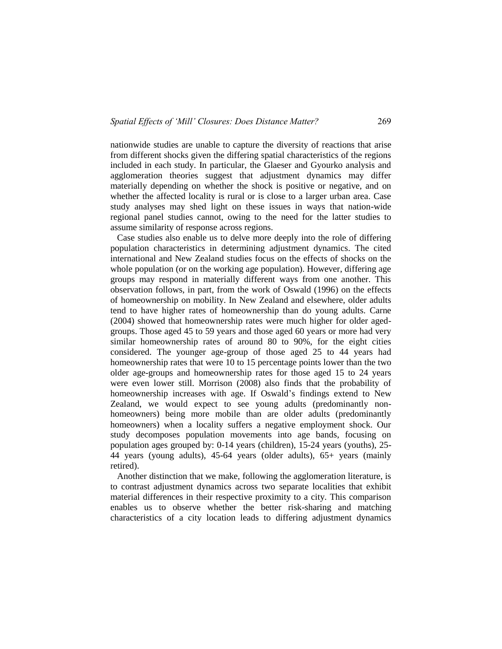nationwide studies are unable to capture the diversity of reactions that arise from different shocks given the differing spatial characteristics of the regions included in each study. In particular, the Glaeser and Gyourko analysis and agglomeration theories suggest that adjustment dynamics may differ materially depending on whether the shock is positive or negative, and on whether the affected locality is rural or is close to a larger urban area. Case study analyses may shed light on these issues in ways that nation-wide regional panel studies cannot, owing to the need for the latter studies to assume similarity of response across regions.

 Case studies also enable us to delve more deeply into the role of differing population characteristics in determining adjustment dynamics. The cited international and New Zealand studies focus on the effects of shocks on the whole population (or on the working age population). However, differing age groups may respond in materially different ways from one another. This observation follows, in part, from the work of Oswald (1996) on the effects of homeownership on mobility. In New Zealand and elsewhere, older adults tend to have higher rates of homeownership than do young adults. Carne (2004) showed that homeownership rates were much higher for older agedgroups. Those aged 45 to 59 years and those aged 60 years or more had very similar homeownership rates of around 80 to 90%, for the eight cities considered. The younger age-group of those aged 25 to 44 years had homeownership rates that were 10 to 15 percentage points lower than the two older age-groups and homeownership rates for those aged 15 to 24 years were even lower still. Morrison (2008) also finds that the probability of homeownership increases with age. If Oswald's findings extend to New Zealand, we would expect to see young adults (predominantly nonhomeowners) being more mobile than are older adults (predominantly homeowners) when a locality suffers a negative employment shock. Our study decomposes population movements into age bands, focusing on population ages grouped by: 0-14 years (children), 15-24 years (youths), 25- 44 years (young adults), 45-64 years (older adults), 65+ years (mainly retired).

 Another distinction that we make, following the agglomeration literature, is to contrast adjustment dynamics across two separate localities that exhibit material differences in their respective proximity to a city. This comparison enables us to observe whether the better risk-sharing and matching characteristics of a city location leads to differing adjustment dynamics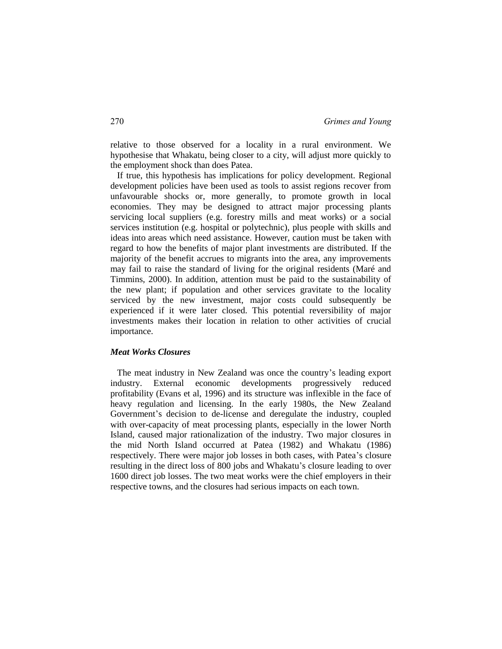relative to those observed for a locality in a rural environment. We hypothesise that Whakatu, being closer to a city, will adjust more quickly to the employment shock than does Patea.

 If true, this hypothesis has implications for policy development. Regional development policies have been used as tools to assist regions recover from unfavourable shocks or, more generally, to promote growth in local economies. They may be designed to attract major processing plants servicing local suppliers (e.g. forestry mills and meat works) or a social services institution (e.g. hospital or polytechnic), plus people with skills and ideas into areas which need assistance. However, caution must be taken with regard to how the benefits of major plant investments are distributed. If the majority of the benefit accrues to migrants into the area, any improvements may fail to raise the standard of living for the original residents (Maré and Timmins, 2000). In addition, attention must be paid to the sustainability of the new plant; if population and other services gravitate to the locality serviced by the new investment, major costs could subsequently be experienced if it were later closed. This potential reversibility of major investments makes their location in relation to other activities of crucial importance.

#### *Meat Works Closures*

 The meat industry in New Zealand was once the country's leading export industry. External economic developments progressively reduced profitability (Evans et al, 1996) and its structure was inflexible in the face of heavy regulation and licensing. In the early 1980s, the New Zealand Government's decision to de-license and deregulate the industry, coupled with over-capacity of meat processing plants, especially in the lower North Island, caused major rationalization of the industry. Two major closures in the mid North Island occurred at Patea (1982) and Whakatu (1986) respectively. There were major job losses in both cases, with Patea's closure resulting in the direct loss of 800 jobs and Whakatu's closure leading to over 1600 direct job losses. The two meat works were the chief employers in their respective towns, and the closures had serious impacts on each town.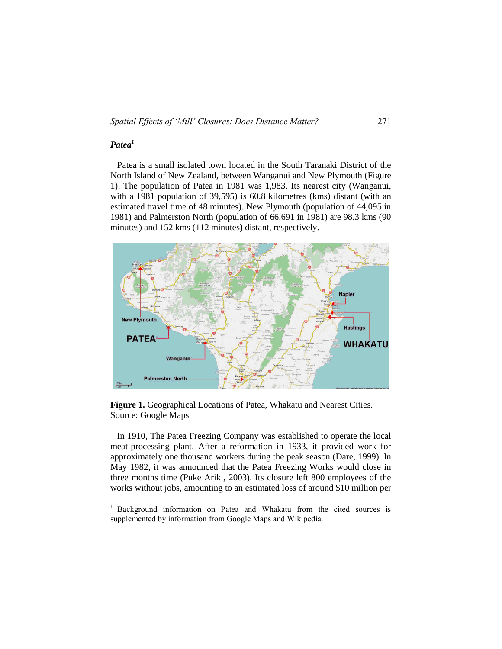# *Patea<sup>1</sup>*

 $\overline{a}$ 

 Patea is a small isolated town located in the South Taranaki District of the North Island of New Zealand, between Wanganui and New Plymouth (Figure 1). The population of Patea in 1981 was 1,983. Its nearest city (Wanganui, with a 1981 population of 39,595) is 60.8 kilometres (kms) distant (with an estimated travel time of 48 minutes). New Plymouth (population of 44,095 in 1981) and Palmerston North (population of 66,691 in 1981) are 98.3 kms (90 minutes) and 152 kms (112 minutes) distant, respectively.



**Figure 1.** Geographical Locations of Patea, Whakatu and Nearest Cities. Source: Google Maps

 In 1910, The Patea Freezing Company was established to operate the local meat-processing plant. After a reformation in 1933, it provided work for approximately one thousand workers during the peak season (Dare, 1999). In May 1982, it was announced that the Patea Freezing Works would close in three months time (Puke Ariki, 2003). Its closure left 800 employees of the works without jobs, amounting to an estimated loss of around \$10 million per

<sup>&</sup>lt;sup>1</sup> Background information on Patea and Whakatu from the cited sources is supplemented by information from Google Maps and Wikipedia.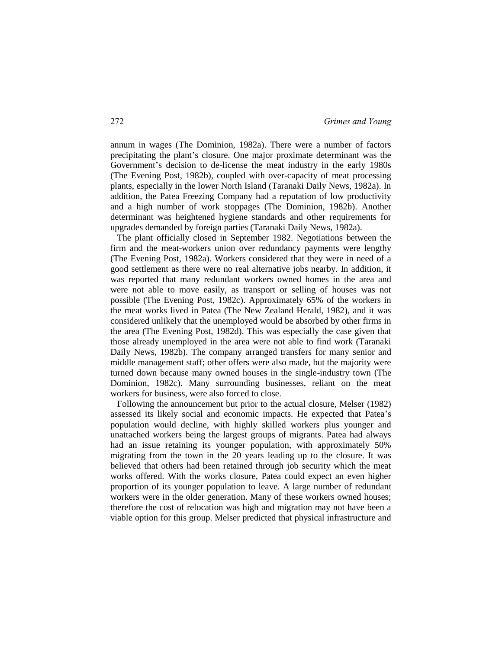annum in wages (The Dominion, 1982a). There were a number of factors precipitating the plant's closure. One major proximate determinant was the Government's decision to de-license the meat industry in the early 1980s (The Evening Post, 1982b), coupled with over-capacity of meat processing plants, especially in the lower North Island (Taranaki Daily News, 1982a). In addition, the Patea Freezing Company had a reputation of low productivity and a high number of work stoppages (The Dominion, 1982b). Another determinant was heightened hygiene standards and other requirements for upgrades demanded by foreign parties (Taranaki Daily News, 1982a).

 The plant officially closed in September 1982. Negotiations between the firm and the meat-workers union over redundancy payments were lengthy (The Evening Post, 1982a). Workers considered that they were in need of a good settlement as there were no real alternative jobs nearby. In addition, it was reported that many redundant workers owned homes in the area and were not able to move easily, as transport or selling of houses was not possible (The Evening Post, 1982c). Approximately 65% of the workers in the meat works lived in Patea (The New Zealand Herald, 1982), and it was considered unlikely that the unemployed would be absorbed by other firms in the area (The Evening Post, 1982d). This was especially the case given that those already unemployed in the area were not able to find work (Taranaki Daily News, 1982b). The company arranged transfers for many senior and middle management staff; other offers were also made, but the majority were turned down because many owned houses in the single-industry town (The Dominion, 1982c). Many surrounding businesses, reliant on the meat workers for business, were also forced to close.

 Following the announcement but prior to the actual closure, Melser (1982) assessed its likely social and economic impacts. He expected that Patea's population would decline, with highly skilled workers plus younger and unattached workers being the largest groups of migrants. Patea had always had an issue retaining its younger population, with approximately 50% migrating from the town in the 20 years leading up to the closure. It was believed that others had been retained through job security which the meat works offered. With the works closure, Patea could expect an even higher proportion of its younger population to leave. A large number of redundant workers were in the older generation. Many of these workers owned houses; therefore the cost of relocation was high and migration may not have been a viable option for this group. Melser predicted that physical infrastructure and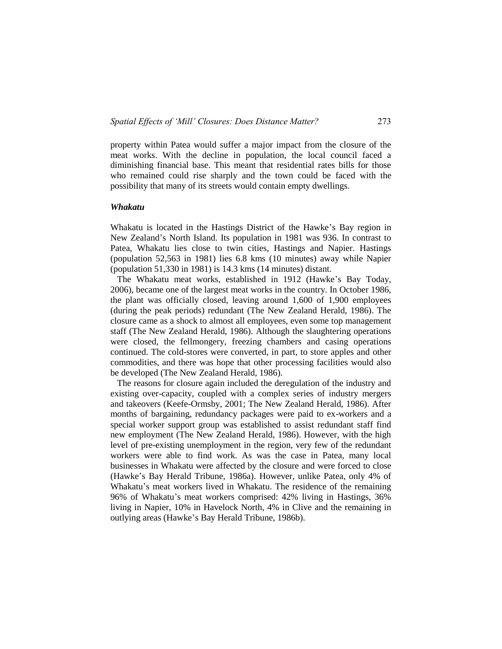property within Patea would suffer a major impact from the closure of the meat works. With the decline in population, the local council faced a diminishing financial base. This meant that residential rates bills for those who remained could rise sharply and the town could be faced with the possibility that many of its streets would contain empty dwellings.

### *Whakatu*

Whakatu is located in the Hastings District of the Hawke's Bay region in New Zealand's North Island. Its population in 1981 was 936. In contrast to Patea, Whakatu lies close to twin cities, Hastings and Napier. Hastings (population 52,563 in 1981) lies 6.8 kms (10 minutes) away while Napier (population 51,330 in 1981) is 14.3 kms (14 minutes) distant.

 The Whakatu meat works, established in 1912 (Hawke's Bay Today, 2006), became one of the largest meat works in the country. In October 1986, the plant was officially closed, leaving around 1,600 of 1,900 employees (during the peak periods) redundant (The New Zealand Herald, 1986). The closure came as a shock to almost all employees, even some top management staff (The New Zealand Herald, 1986). Although the slaughtering operations were closed, the fellmongery, freezing chambers and casing operations continued. The cold-stores were converted, in part, to store apples and other commodities, and there was hope that other processing facilities would also be developed (The New Zealand Herald, 1986).

 The reasons for closure again included the deregulation of the industry and existing over-capacity, coupled with a complex series of industry mergers and takeovers (Keefe-Ormsby, 2001; The New Zealand Herald, 1986). After months of bargaining, redundancy packages were paid to ex-workers and a special worker support group was established to assist redundant staff find new employment (The New Zealand Herald, 1986). However, with the high level of pre-existing unemployment in the region, very few of the redundant workers were able to find work. As was the case in Patea, many local businesses in Whakatu were affected by the closure and were forced to close (Hawke's Bay Herald Tribune, 1986a). However, unlike Patea, only 4% of Whakatu's meat workers lived in Whakatu. The residence of the remaining 96% of Whakatu's meat workers comprised: 42% living in Hastings, 36% living in Napier, 10% in Havelock North, 4% in Clive and the remaining in outlying areas (Hawke's Bay Herald Tribune, 1986b).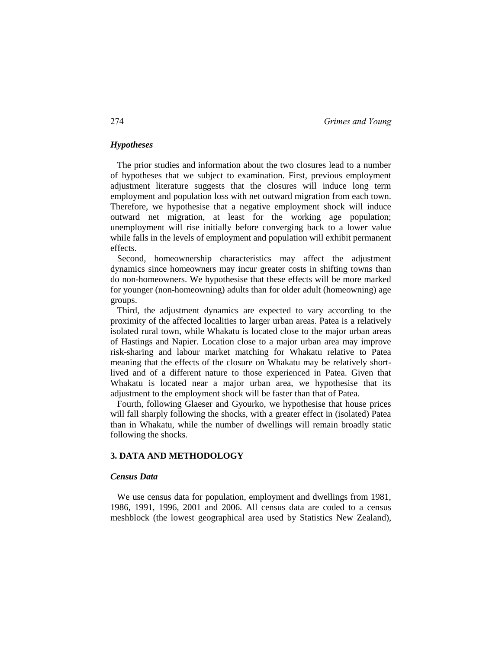# *Hypotheses*

 The prior studies and information about the two closures lead to a number of hypotheses that we subject to examination. First, previous employment adjustment literature suggests that the closures will induce long term employment and population loss with net outward migration from each town. Therefore, we hypothesise that a negative employment shock will induce outward net migration, at least for the working age population; unemployment will rise initially before converging back to a lower value while falls in the levels of employment and population will exhibit permanent effects.

 Second, homeownership characteristics may affect the adjustment dynamics since homeowners may incur greater costs in shifting towns than do non-homeowners. We hypothesise that these effects will be more marked for younger (non-homeowning) adults than for older adult (homeowning) age groups.

 Third, the adjustment dynamics are expected to vary according to the proximity of the affected localities to larger urban areas. Patea is a relatively isolated rural town, while Whakatu is located close to the major urban areas of Hastings and Napier. Location close to a major urban area may improve risk-sharing and labour market matching for Whakatu relative to Patea meaning that the effects of the closure on Whakatu may be relatively shortlived and of a different nature to those experienced in Patea. Given that Whakatu is located near a major urban area, we hypothesise that its adjustment to the employment shock will be faster than that of Patea.

 Fourth, following Glaeser and Gyourko, we hypothesise that house prices will fall sharply following the shocks, with a greater effect in (isolated) Patea than in Whakatu, while the number of dwellings will remain broadly static following the shocks.

# **3. DATA AND METHODOLOGY**

#### *Census Data*

 We use census data for population, employment and dwellings from 1981, 1986, 1991, 1996, 2001 and 2006. All census data are coded to a census meshblock (the lowest geographical area used by Statistics New Zealand),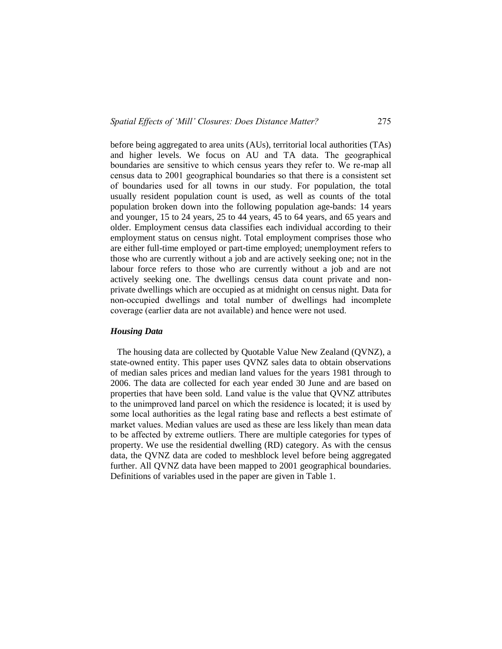before being aggregated to area units (AUs), territorial local authorities (TAs) and higher levels. We focus on AU and TA data. The geographical boundaries are sensitive to which census years they refer to. We re-map all census data to 2001 geographical boundaries so that there is a consistent set of boundaries used for all towns in our study. For population, the total usually resident population count is used, as well as counts of the total population broken down into the following population age-bands: 14 years and younger, 15 to 24 years, 25 to 44 years, 45 to 64 years, and 65 years and older. Employment census data classifies each individual according to their employment status on census night. Total employment comprises those who are either full-time employed or part-time employed; unemployment refers to those who are currently without a job and are actively seeking one; not in the labour force refers to those who are currently without a job and are not actively seeking one. The dwellings census data count private and nonprivate dwellings which are occupied as at midnight on census night. Data for non-occupied dwellings and total number of dwellings had incomplete coverage (earlier data are not available) and hence were not used.

# *Housing Data*

 The housing data are collected by Quotable Value New Zealand (QVNZ), a state-owned entity. This paper uses QVNZ sales data to obtain observations of median sales prices and median land values for the years 1981 through to 2006. The data are collected for each year ended 30 June and are based on properties that have been sold. Land value is the value that QVNZ attributes to the unimproved land parcel on which the residence is located; it is used by some local authorities as the legal rating base and reflects a best estimate of market values. Median values are used as these are less likely than mean data to be affected by extreme outliers. There are multiple categories for types of property. We use the residential dwelling (RD) category. As with the census data, the QVNZ data are coded to meshblock level before being aggregated further. All QVNZ data have been mapped to 2001 geographical boundaries. Definitions of variables used in the paper are given in Table 1.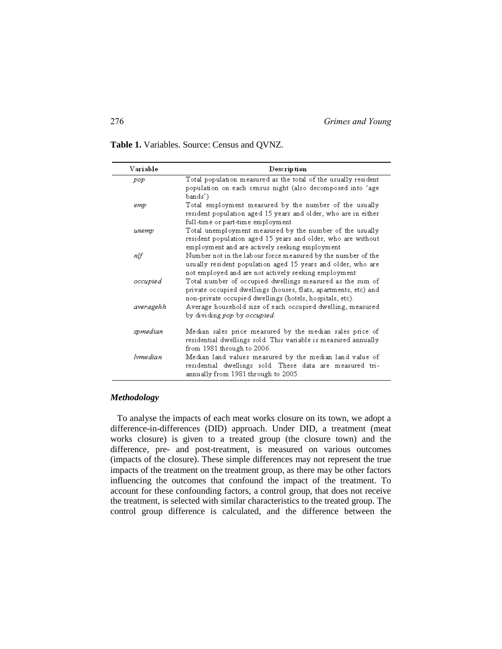**Table 1.** Variables. Source: Census and QVNZ.

| Variable  | Description                                                                                                                                                                              |
|-----------|------------------------------------------------------------------------------------------------------------------------------------------------------------------------------------------|
| pop       | Total population measured as the total of the usually resident<br>population on each census night (also decomposed into 'age<br>bands')                                                  |
| етр       | Total employment measured by the number of the usually<br>resident population aged 15 years and older, who are in either<br>full-time or part-time employment                            |
| unemp     | Total unemployment measured by the number of the usually<br>resident population aged 15 years and older, who are without<br>employment and are actively seeking employment               |
| nlf       | Number not in the labour force measured by the number of the<br>usually resident population aged 15 years and older, who are<br>not employed and are not actively seeking employment     |
| occupied  | Total number of occupied dwellings measured as the sum of<br>private occupied dwellings (houses, flats, apartments, etc) and<br>non-private occupied dwellings (hotels, hospitals, etc). |
| averagehh | Average household size of each occupied dwelling, measured<br>by dividing pop by occupied.                                                                                               |
| spmedian  | Median sales price measured by the median sales price of<br>residential dwellings sold. This variable is measured annually<br>from 1981 through to 2006.                                 |
| lvmedian  | Median land values measured by the median land value of<br>residential dwellings sold. These data are measured tri-<br>annually from 1981 through to 2005.                               |

# *Methodology*

 To analyse the impacts of each meat works closure on its town, we adopt a difference-in-differences (DID) approach. Under DID, a treatment (meat works closure) is given to a treated group (the closure town) and the difference, pre- and post-treatment, is measured on various outcomes (impacts of the closure). These simple differences may not represent the true impacts of the treatment on the treatment group, as there may be other factors influencing the outcomes that confound the impact of the treatment. To account for these confounding factors, a control group, that does not receive the treatment, is selected with similar characteristics to the treated group. The control group difference is calculated, and the difference between the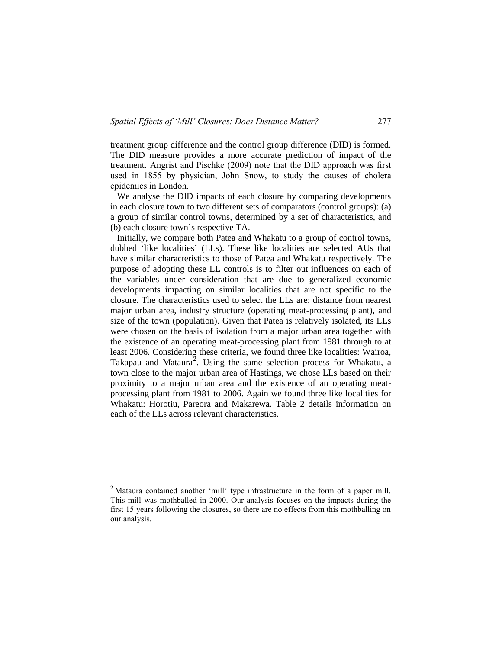treatment group difference and the control group difference (DID) is formed. The DID measure provides a more accurate prediction of impact of the treatment. Angrist and Pischke (2009) note that the DID approach was first used in 1855 by physician, John Snow, to study the causes of cholera epidemics in London.

 We analyse the DID impacts of each closure by comparing developments in each closure town to two different sets of comparators (control groups): (a) a group of similar control towns, determined by a set of characteristics, and (b) each closure town's respective TA.

 Initially, we compare both Patea and Whakatu to a group of control towns, dubbed 'like localities' (LLs). These like localities are selected AUs that have similar characteristics to those of Patea and Whakatu respectively. The purpose of adopting these LL controls is to filter out influences on each of the variables under consideration that are due to generalized economic developments impacting on similar localities that are not specific to the closure. The characteristics used to select the LLs are: distance from nearest major urban area, industry structure (operating meat-processing plant), and size of the town (population). Given that Patea is relatively isolated, its LLs were chosen on the basis of isolation from a major urban area together with the existence of an operating meat-processing plant from 1981 through to at least 2006. Considering these criteria, we found three like localities: Wairoa, Takapau and Mataura<sup>2</sup>. Using the same selection process for Whakatu, a town close to the major urban area of Hastings, we chose LLs based on their proximity to a major urban area and the existence of an operating meatprocessing plant from 1981 to 2006. Again we found three like localities for Whakatu: Horotiu, Pareora and Makarewa. Table 2 details information on each of the LLs across relevant characteristics.

 $\overline{a}$ 

<sup>&</sup>lt;sup>2</sup> Mataura contained another 'mill' type infrastructure in the form of a paper mill. This mill was mothballed in 2000. Our analysis focuses on the impacts during the first 15 years following the closures, so there are no effects from this mothballing on our analysis.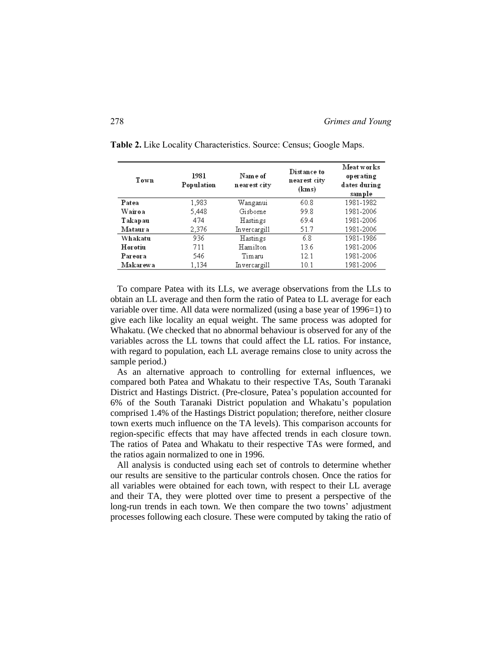| Town     | 1981<br>Population | Name of<br>n ear est city | Distance to<br>nearest city<br>(kms) | Meat works<br>operating<br>dates during<br>sample |  |
|----------|--------------------|---------------------------|--------------------------------------|---------------------------------------------------|--|
| Patea    | 1,983              | Wanganui                  | 60.8                                 | 1981-1982                                         |  |
| Wairoa   | 5.448              | Gisborne                  | 99.8                                 | 1981-2006                                         |  |
| Takapau  | 474                | Hastings                  | 69.4                                 | 1981-2006                                         |  |
| Mataur a | 2,376              | Invercargill              | 51.7                                 | 1981-2006                                         |  |
| Whakatu  | 936                | Hastings                  | 6.8                                  | 1981-1986                                         |  |
| Horotiu  | 711                | Hamilton                  | 13.6                                 | 1981-2006                                         |  |
| Pareora  | 546.               | Timaru                    | 12.1                                 | 1981-2006                                         |  |
| Makarewa | 1,134              | Invercargill              | 10.1                                 | 1981-2006                                         |  |

**Table 2.** Like Locality Characteristics. Source: Census; Google Maps.

 To compare Patea with its LLs, we average observations from the LLs to obtain an LL average and then form the ratio of Patea to LL average for each variable over time. All data were normalized (using a base year of 1996=1) to give each like locality an equal weight. The same process was adopted for Whakatu. (We checked that no abnormal behaviour is observed for any of the variables across the LL towns that could affect the LL ratios. For instance, with regard to population, each LL average remains close to unity across the sample period.)

 As an alternative approach to controlling for external influences, we compared both Patea and Whakatu to their respective TAs, South Taranaki District and Hastings District. (Pre-closure, Patea's population accounted for 6% of the South Taranaki District population and Whakatu's population comprised 1.4% of the Hastings District population; therefore, neither closure town exerts much influence on the TA levels). This comparison accounts for region-specific effects that may have affected trends in each closure town. The ratios of Patea and Whakatu to their respective TAs were formed, and the ratios again normalized to one in 1996.

 All analysis is conducted using each set of controls to determine whether our results are sensitive to the particular controls chosen. Once the ratios for all variables were obtained for each town, with respect to their LL average and their TA, they were plotted over time to present a perspective of the long-run trends in each town. We then compare the two towns' adjustment processes following each closure. These were computed by taking the ratio of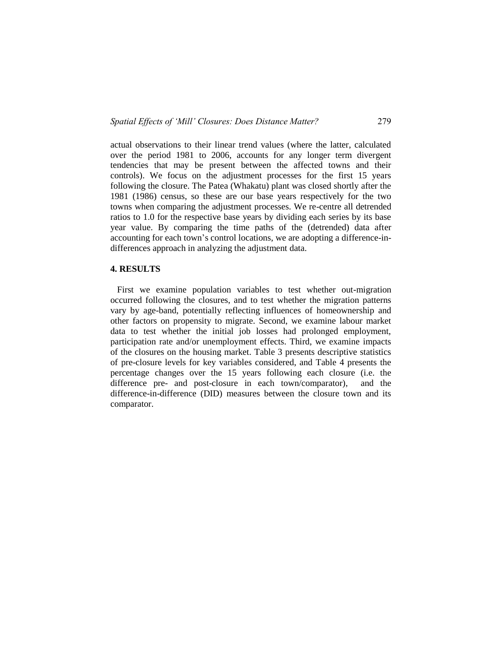actual observations to their linear trend values (where the latter, calculated over the period 1981 to 2006, accounts for any longer term divergent tendencies that may be present between the affected towns and their controls). We focus on the adjustment processes for the first 15 years following the closure. The Patea (Whakatu) plant was closed shortly after the 1981 (1986) census, so these are our base years respectively for the two towns when comparing the adjustment processes. We re-centre all detrended ratios to 1.0 for the respective base years by dividing each series by its base year value. By comparing the time paths of the (detrended) data after accounting for each town's control locations, we are adopting a difference-indifferences approach in analyzing the adjustment data.

#### **4. RESULTS**

 First we examine population variables to test whether out-migration occurred following the closures, and to test whether the migration patterns vary by age-band, potentially reflecting influences of homeownership and other factors on propensity to migrate. Second, we examine labour market data to test whether the initial job losses had prolonged employment, participation rate and/or unemployment effects. Third, we examine impacts of the closures on the housing market. Table 3 presents descriptive statistics of pre-closure levels for key variables considered, and Table 4 presents the percentage changes over the 15 years following each closure (i.e. the difference pre- and post-closure in each town/comparator), and the difference-in-difference (DID) measures between the closure town and its comparator.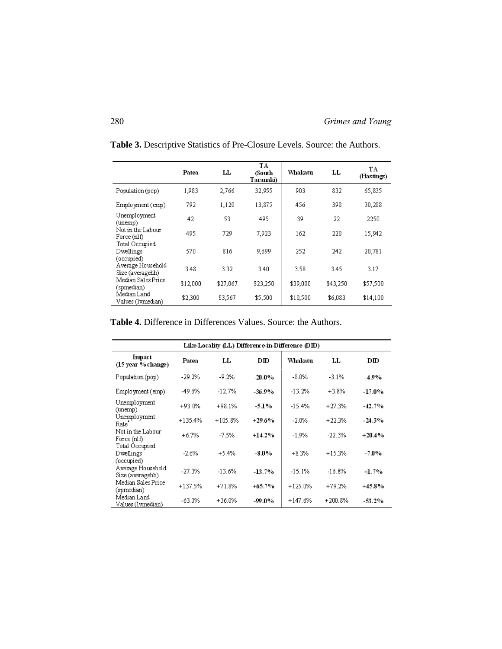|                                           | Patea    | LL       | TA<br>(South<br>Taranaki) | Whakatu  | LL       | TA<br>(Hastings) |
|-------------------------------------------|----------|----------|---------------------------|----------|----------|------------------|
| Population (pop)                          | 1.983    | 2.766    | 32,955                    | 903      | 832      | 65.835           |
| Employment (emp)                          | 792      | 1,120    | 13,875                    | 456      | 398      | 30,288           |
| Unemployment<br>(unemp)                   | 42       | 53       | 495                       | 39       | 22       | 2250             |
| Not in the Labour<br>Force (nlf)          | 495      | 729      | 7.923                     | 162      | 220      | 15.942           |
| Total Occupied<br>Dwellings<br>(occupied) | 570      | 816      | 9,699                     | 252      | 242      | 20,781           |
| Average Household<br>Size (averagehh)     | 3.48     | 3.32     | 3.40                      | 3.58     | 3.45     | 3.17             |
| Median Sales Price.<br>(spmedian)         | \$12,000 | \$27,067 | \$23,250                  | \$39,000 | \$43,250 | \$57,500         |
| Median Land<br>Values (Ivmedian)          | \$2,300  | \$3,567  | \$5,500                   | \$10,500 | \$6,083  | \$14,100         |

**Table 3.** Descriptive Statistics of Pre-Closure Levels. Source: the Authors.

**Table 4.** Difference in Differences Values. Source: the Authors.

|                                           | Like-Locality (LL) Difference-in-Difference (DID) |           |           |            |           |           |  |
|-------------------------------------------|---------------------------------------------------|-----------|-----------|------------|-----------|-----------|--|
| Impact<br>(15 year % change)              | Patea                                             | LL        | DD        | Whakatu    | LL        | DID       |  |
| Population (pop)                          | $-29.2%$                                          | $-9.2%$   | $-20.0\%$ | $-8.0\%$   | $-3.1%$   | $-4.9%$   |  |
| Employment (emp)                          | -49.6%                                            | $-12.7%$  | -36.9%    | $-13.2%$   | $+3.8%$   | $-17.0\%$ |  |
| Unemployment<br>(unemp)                   | $+93.0%$                                          | $+98.1%$  | $-5.1%$   | $-15.4%$   | $+27.3%$  | $-42.7%$  |  |
| Unemployment<br>Rate'                     | $+135.4%$                                         | $+105.8%$ | $+29.6%$  | $-2.0\%$   | $+22.3%$  | $-24.3%$  |  |
| Not in the Labour<br>Force $(nIf)$        | $+6.7%$                                           | $-7.5%$   | $+14.2%$  | $-1.9%$    | $-22.3%$  | $+20.4%$  |  |
| Total Occupied<br>Dwellings<br>(occupied) | $-2.6%$                                           | $+5.4%$   | -8.0%     | $+8.3%$    | $+15.3%$  | -7.0%     |  |
| Average Household<br>Size (averagehh)     | $-27.3%$                                          | $-13.6%$  | $-13.7%$  | $-15.1%$   | $-16.8%$  | $+1.7%$   |  |
| Median Sales Price<br>(spmedian)          | $+137.5%$                                         | $+71.8%$  | $+65.7%$  | $+125.0\%$ | $+79.2%$  | $+45.8%$  |  |
| Median Land<br>Values (1vmedian)          | -63.0%                                            | $+36.0%$  | -99.0%    | $+147.6%$  | $+200.8%$ | $-53.2\%$ |  |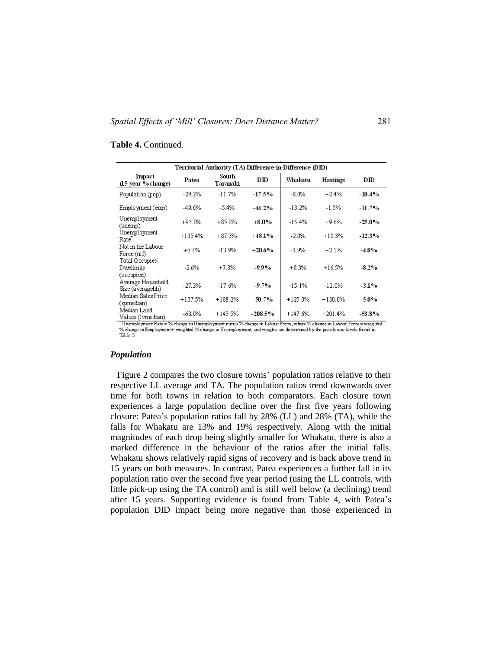#### Territorial Authority (TA) Difference-in-Difference (DID) South Impact  $DID$ Whakatu  $\mathbf{D} \mathbf{I} \mathbf{D}$ Patea Hastings (15 year % change) Taranaki  $-17.5%$ Population (pop)  $-29.2%$  $-11.7%$  $-8.0\%$  $+2.4%$  $-10.4%$ Employment (emp)  $-49.6%$  $-5.4%$  $-13.2%$  $-1.5%$  $-44.2%$  $-11.7%$ Unemployment  $+93.0%$  $+85.0%$  $+8.0\%$  $-15.4%$  $+9.6%$  $25.0%$ (unemp) Unemployment  $+135.4%$  $+87.3%$  $+48.1%$  $-2.0%$  $+10.3%$  $-12.3%$ Rate Not in the Labour  $+20.6%$  $-1.9%$  $+6.7%$  $-13.9%$  $+2.1%$ -4.0% Force (nlf) Total Occupied Dwellings  $-2.6%$  $+7.3%$ -99%  $+8.3%$  $+16.5%$  $-8.2%$ (occupied) Average Household  $-27.3%$  $-17.6%$  $-9.7%$  $-15.1%$  $-12.0%$  $-3.1%$ Size (averagehh) Median Sales Price  $+137.5%$  $+188.2%$  $-50.7%$  $+125.0%$  $+130.0%$ -5.0% (spmedian) Median Land  $+147.6%$  $+201.4%$  $-63.0%$  $+145.5%$  $-208.5%$  $-53.8%$ Values (Ivmedian)

#### **Table 4.** Continued.

" Unemployment Rate = % change in Unemployment minus % change in Labour Force; where % change in Labour Force = weighted % change in Employment+ weighted % change in Unemployment, and weights are determined by the pre-closure levels found in Table 3.

#### *Population*

 Figure 2 compares the two closure towns' population ratios relative to their respective LL average and TA. The population ratios trend downwards over time for both towns in relation to both comparators. Each closure town experiences a large population decline over the first five years following closure: Patea's population ratios fall by 28% (LL) and 28% (TA), while the falls for Whakatu are 13% and 19% respectively. Along with the initial magnitudes of each drop being slightly smaller for Whakatu, there is also a marked difference in the behaviour of the ratios after the initial falls. Whakatu shows relatively rapid signs of recovery and is back above trend in 15 years on both measures. In contrast, Patea experiences a further fall in its population ratio over the second five year period (using the LL controls, with little pick-up using the TA control) and is still well below (a declining) trend after 15 years. Supporting evidence is found from Table 4, with Patea's population DID impact being more negative than those experienced in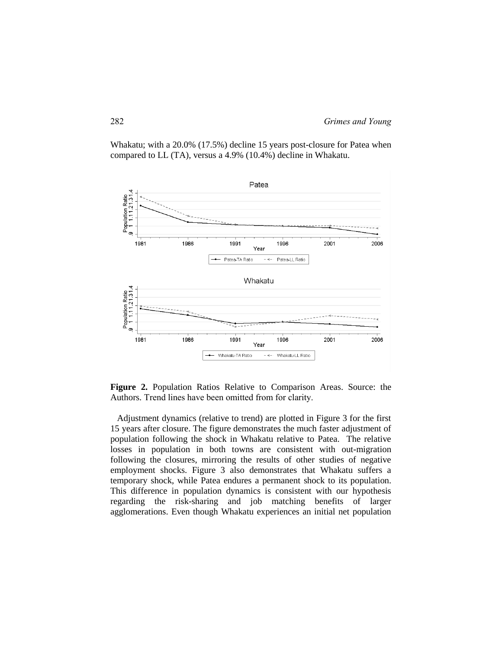Whakatu; with a 20.0% (17.5%) decline 15 years post-closure for Patea when compared to LL (TA), versus a 4.9% (10.4%) decline in Whakatu.



**Figure 2.** Population Ratios Relative to Comparison Areas. Source: the Authors. Trend lines have been omitted from for clarity.

 Adjustment dynamics (relative to trend) are plotted in Figure 3 for the first 15 years after closure. The figure demonstrates the much faster adjustment of population following the shock in Whakatu relative to Patea. The relative losses in population in both towns are consistent with out-migration following the closures, mirroring the results of other studies of negative employment shocks. Figure 3 also demonstrates that Whakatu suffers a temporary shock, while Patea endures a permanent shock to its population. This difference in population dynamics is consistent with our hypothesis regarding the risk-sharing and job matching benefits of larger agglomerations. Even though Whakatu experiences an initial net population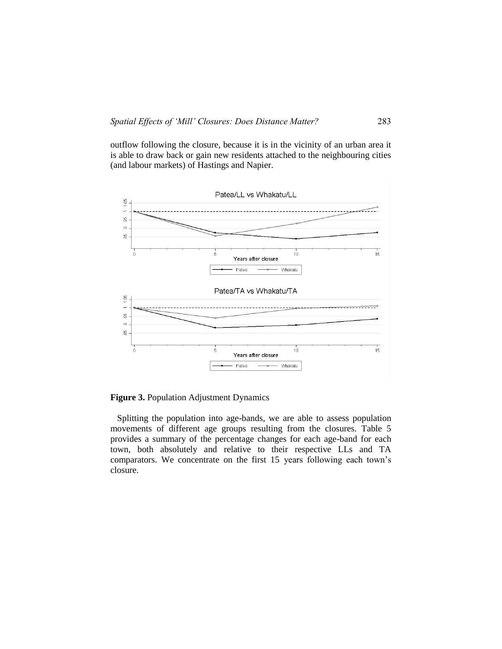outflow following the closure, because it is in the vicinity of an urban area it is able to draw back or gain new residents attached to the neighbouring cities (and labour markets) of Hastings and Napier.



**Figure 3.** Population Adjustment Dynamics

 Splitting the population into age-bands, we are able to assess population movements of different age groups resulting from the closures. Table 5 provides a summary of the percentage changes for each age-band for each town, both absolutely and relative to their respective LLs and TA comparators. We concentrate on the first 15 years following each town's closure.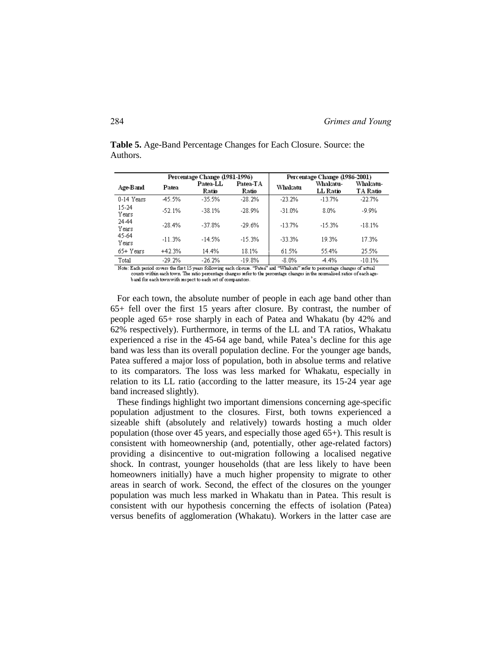|                |          | Percentage Change (1981-1996) |                   | Percentage Change (1986-2001) |                             |                      |  |
|----------------|----------|-------------------------------|-------------------|-------------------------------|-----------------------------|----------------------|--|
| Age-Band       | Patea    | Patea-LL<br>Ratio             | Patea-TA<br>Ratio | Whakatu                       | Whakatu-<br><b>LL Ratio</b> | Whakatu-<br>TA Ratio |  |
| 0-14 Years     | 45.5%    | $-35.5%$                      | $-28.2%$          | $-23.2%$                      | $-13.7%$                    | $-22.7%$             |  |
| 15-24<br>Years | $-52.1%$ | $-38.1%$                      | $-28.9%$          | $-31.0%$                      | 8.0%                        | $-9.9%$              |  |
| 2444<br>Years  | $-28.4%$ | $-37.8%$                      | $-29.6%$          | $-137%$                       | $-15.3%$                    | $-18.1%$             |  |
| 45-64<br>Years | $-11.3%$ | $-14.5%$                      | $-15.3%$          | $-33.3%$                      | 19.3%                       | 17.3%                |  |
| 65+ Years      | $+42.3%$ | 14.4%                         | 18.1%             | 61.5%                         | 55.4%                       | 25.5%                |  |
| Total          | $-29.2%$ | $-26.2%$                      | $-19.8%$          | $-8.0\%$                      | $-4.4%$                     | $-10.1%$             |  |

**Table 5.** Age-Band Percentage Changes for Each Closure. Source: the Authors.

Note: Each period covers the first 15 years following each obsure. "Patea" and "Whakatu" refer to percentage changes of actual counts within each town. The ratio percentage changes refer to the percentage changes in the normalised ratios of each age-<br>b and for each town with respect to each set of comparators.

 For each town, the absolute number of people in each age band other than 65+ fell over the first 15 years after closure. By contrast, the number of people aged 65+ rose sharply in each of Patea and Whakatu (by 42% and 62% respectively). Furthermore, in terms of the LL and TA ratios, Whakatu experienced a rise in the 45-64 age band, while Patea's decline for this age band was less than its overall population decline. For the younger age bands, Patea suffered a major loss of population, both in absolue terms and relative to its comparators. The loss was less marked for Whakatu, especially in relation to its LL ratio (according to the latter measure, its 15-24 year age band increased slightly).

 These findings highlight two important dimensions concerning age-specific population adjustment to the closures. First, both towns experienced a sizeable shift (absolutely and relatively) towards hosting a much older population (those over 45 years, and especially those aged 65+). This result is consistent with homeownership (and, potentially, other age-related factors) providing a disincentive to out-migration following a localised negative shock. In contrast, younger households (that are less likely to have been homeowners initially) have a much higher propensity to migrate to other areas in search of work. Second, the effect of the closures on the younger population was much less marked in Whakatu than in Patea. This result is consistent with our hypothesis concerning the effects of isolation (Patea) versus benefits of agglomeration (Whakatu). Workers in the latter case are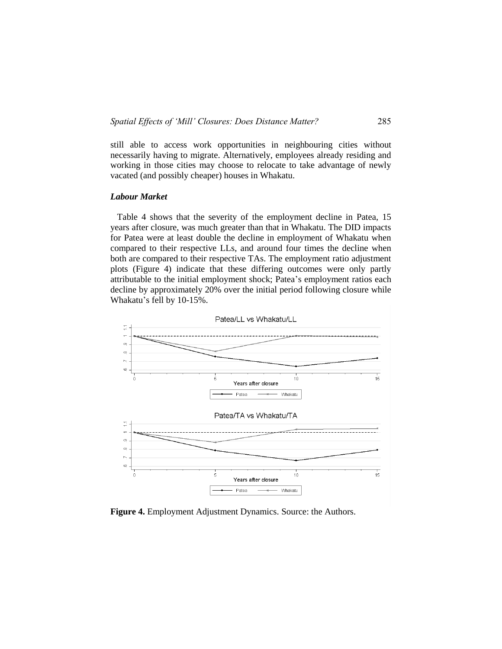still able to access work opportunities in neighbouring cities without necessarily having to migrate. Alternatively, employees already residing and working in those cities may choose to relocate to take advantage of newly vacated (and possibly cheaper) houses in Whakatu.

### *Labour Market*

 Table 4 shows that the severity of the employment decline in Patea, 15 years after closure, was much greater than that in Whakatu. The DID impacts for Patea were at least double the decline in employment of Whakatu when compared to their respective LLs, and around four times the decline when both are compared to their respective TAs. The employment ratio adjustment plots (Figure 4) indicate that these differing outcomes were only partly attributable to the initial employment shock; Patea's employment ratios each decline by approximately 20% over the initial period following closure while Whakatu's fell by 10-15%.



**Figure 4.** Employment Adjustment Dynamics. Source: the Authors.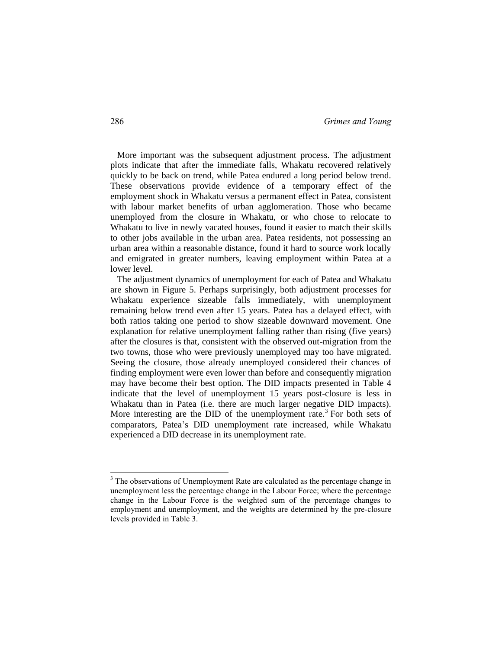More important was the subsequent adjustment process. The adjustment plots indicate that after the immediate falls, Whakatu recovered relatively quickly to be back on trend, while Patea endured a long period below trend. These observations provide evidence of a temporary effect of the employment shock in Whakatu versus a permanent effect in Patea, consistent with labour market benefits of urban agglomeration. Those who became unemployed from the closure in Whakatu, or who chose to relocate to Whakatu to live in newly vacated houses, found it easier to match their skills to other jobs available in the urban area. Patea residents, not possessing an urban area within a reasonable distance, found it hard to source work locally and emigrated in greater numbers, leaving employment within Patea at a lower level.

 The adjustment dynamics of unemployment for each of Patea and Whakatu are shown in Figure 5. Perhaps surprisingly, both adjustment processes for Whakatu experience sizeable falls immediately, with unemployment remaining below trend even after 15 years. Patea has a delayed effect, with both ratios taking one period to show sizeable downward movement. One explanation for relative unemployment falling rather than rising (five years) after the closures is that, consistent with the observed out-migration from the two towns, those who were previously unemployed may too have migrated. Seeing the closure, those already unemployed considered their chances of finding employment were even lower than before and consequently migration may have become their best option. The DID impacts presented in Table 4 indicate that the level of unemployment 15 years post-closure is less in Whakatu than in Patea (i.e. there are much larger negative DID impacts). More interesting are the DID of the unemployment rate.<sup>3</sup> For both sets of comparators, Patea's DID unemployment rate increased, while Whakatu experienced a DID decrease in its unemployment rate.

 $\overline{a}$ 

 $3$  The observations of Unemployment Rate are calculated as the percentage change in unemployment less the percentage change in the Labour Force; where the percentage change in the Labour Force is the weighted sum of the percentage changes to employment and unemployment, and the weights are determined by the pre-closure levels provided in Table 3.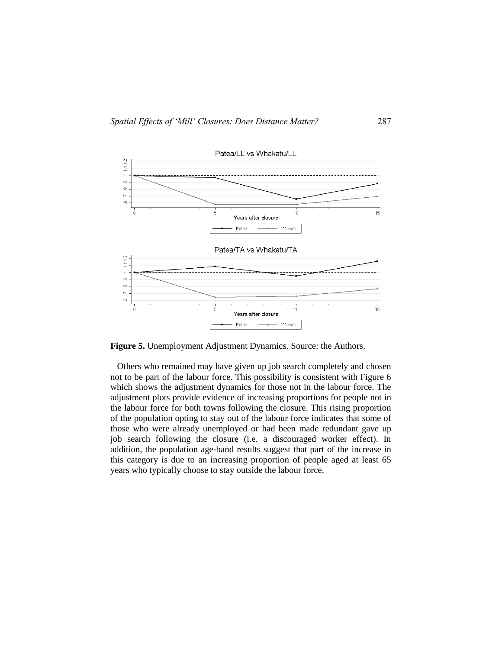

**Figure 5.** Unemployment Adjustment Dynamics. Source: the Authors.

 Others who remained may have given up job search completely and chosen not to be part of the labour force. This possibility is consistent with Figure 6 which shows the adjustment dynamics for those not in the labour force. The adjustment plots provide evidence of increasing proportions for people not in the labour force for both towns following the closure. This rising proportion of the population opting to stay out of the labour force indicates that some of those who were already unemployed or had been made redundant gave up job search following the closure (i.e. a discouraged worker effect). In addition, the population age-band results suggest that part of the increase in this category is due to an increasing proportion of people aged at least 65 years who typically choose to stay outside the labour force.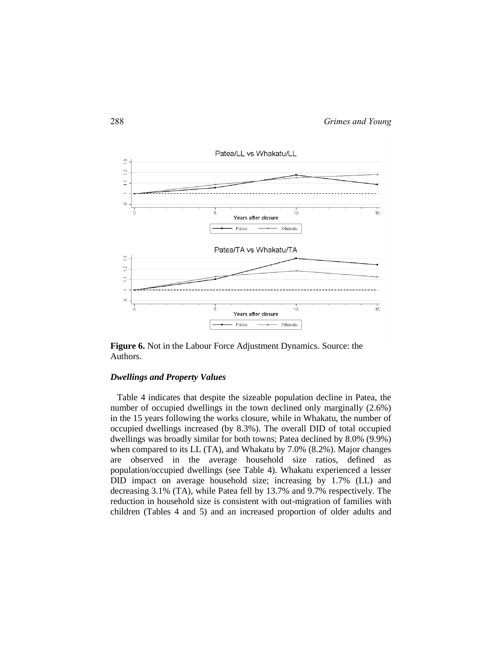

**Figure 6.** Not in the Labour Force Adjustment Dynamics. Source: the Authors.

#### *Dwellings and Property Values*

 Table 4 indicates that despite the sizeable population decline in Patea, the number of occupied dwellings in the town declined only marginally (2.6%) in the 15 years following the works closure, while in Whakatu, the number of occupied dwellings increased (by 8.3%). The overall DID of total occupied dwellings was broadly similar for both towns; Patea declined by 8.0% (9.9%) when compared to its LL (TA), and Whakatu by 7.0% (8.2%). Major changes are observed in the average household size ratios, defined as population/occupied dwellings (see Table 4). Whakatu experienced a lesser DID impact on average household size; increasing by 1.7% (LL) and decreasing 3.1% (TA), while Patea fell by 13.7% and 9.7% respectively. The reduction in household size is consistent with out-migration of families with children (Tables 4 and 5) and an increased proportion of older adults and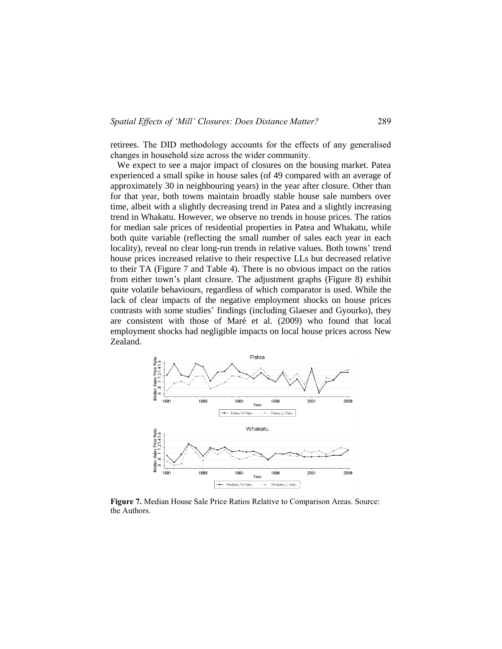retirees. The DID methodology accounts for the effects of any generalised changes in household size across the wider community.

 We expect to see a major impact of closures on the housing market. Patea experienced a small spike in house sales (of 49 compared with an average of approximately 30 in neighbouring years) in the year after closure. Other than for that year, both towns maintain broadly stable house sale numbers over time, albeit with a slightly decreasing trend in Patea and a slightly increasing trend in Whakatu. However, we observe no trends in house prices. The ratios for median sale prices of residential properties in Patea and Whakatu, while both quite variable (reflecting the small number of sales each year in each locality), reveal no clear long-run trends in relative values. Both towns' trend house prices increased relative to their respective LLs but decreased relative to their TA (Figure 7 and Table 4). There is no obvious impact on the ratios from either town's plant closure. The adjustment graphs (Figure 8) exhibit quite volatile behaviours, regardless of which comparator is used. While the lack of clear impacts of the negative employment shocks on house prices contrasts with some studies' findings (including Glaeser and Gyourko), they are consistent with those of Maré et al. (2009) who found that local employment shocks had negligible impacts on local house prices across New Zealand.



**Figure 7.** Median House Sale Price Ratios Relative to Comparison Areas. Source: the Authors.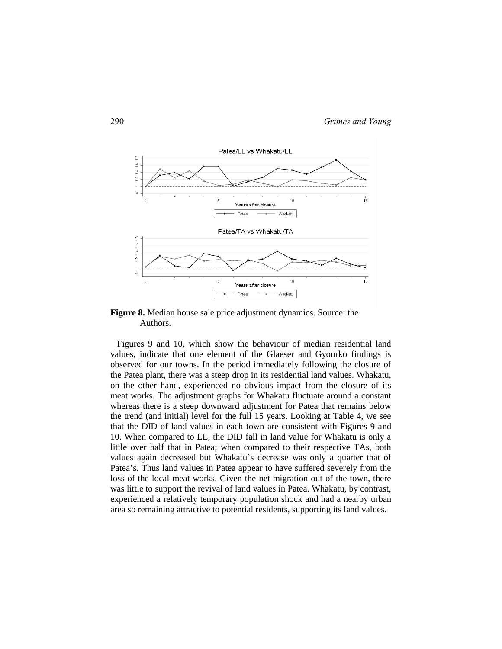

**Figure 8.** Median house sale price adjustment dynamics. Source: the Authors.

 Figures 9 and 10, which show the behaviour of median residential land values, indicate that one element of the Glaeser and Gyourko findings is observed for our towns. In the period immediately following the closure of the Patea plant, there was a steep drop in its residential land values. Whakatu, on the other hand, experienced no obvious impact from the closure of its meat works. The adjustment graphs for Whakatu fluctuate around a constant whereas there is a steep downward adjustment for Patea that remains below the trend (and initial) level for the full 15 years. Looking at Table 4, we see that the DID of land values in each town are consistent with Figures 9 and 10. When compared to LL, the DID fall in land value for Whakatu is only a little over half that in Patea; when compared to their respective TAs, both values again decreased but Whakatu's decrease was only a quarter that of Patea's. Thus land values in Patea appear to have suffered severely from the loss of the local meat works. Given the net migration out of the town, there was little to support the revival of land values in Patea. Whakatu, by contrast, experienced a relatively temporary population shock and had a nearby urban area so remaining attractive to potential residents, supporting its land values.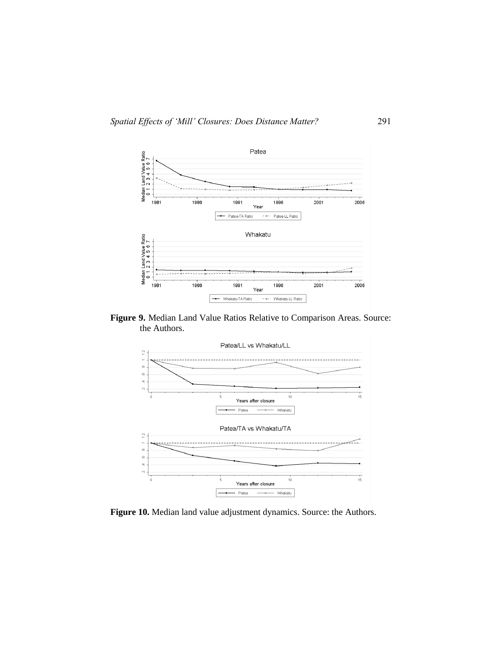

**Figure 9.** Median Land Value Ratios Relative to Comparison Areas. Source: the Authors.



**Figure 10.** Median land value adjustment dynamics. Source: the Authors.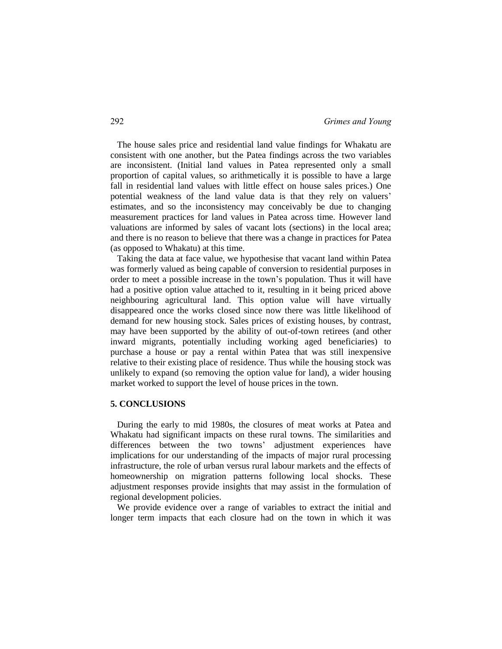The house sales price and residential land value findings for Whakatu are consistent with one another, but the Patea findings across the two variables are inconsistent. (Initial land values in Patea represented only a small proportion of capital values, so arithmetically it is possible to have a large fall in residential land values with little effect on house sales prices.) One potential weakness of the land value data is that they rely on valuers' estimates, and so the inconsistency may conceivably be due to changing measurement practices for land values in Patea across time. However land valuations are informed by sales of vacant lots (sections) in the local area; and there is no reason to believe that there was a change in practices for Patea (as opposed to Whakatu) at this time.

 Taking the data at face value, we hypothesise that vacant land within Patea was formerly valued as being capable of conversion to residential purposes in order to meet a possible increase in the town's population. Thus it will have had a positive option value attached to it, resulting in it being priced above neighbouring agricultural land. This option value will have virtually disappeared once the works closed since now there was little likelihood of demand for new housing stock. Sales prices of existing houses, by contrast, may have been supported by the ability of out-of-town retirees (and other inward migrants, potentially including working aged beneficiaries) to purchase a house or pay a rental within Patea that was still inexpensive relative to their existing place of residence. Thus while the housing stock was unlikely to expand (so removing the option value for land), a wider housing market worked to support the level of house prices in the town.

#### **5. CONCLUSIONS**

 During the early to mid 1980s, the closures of meat works at Patea and Whakatu had significant impacts on these rural towns. The similarities and differences between the two towns' adjustment experiences have implications for our understanding of the impacts of major rural processing infrastructure, the role of urban versus rural labour markets and the effects of homeownership on migration patterns following local shocks. These adjustment responses provide insights that may assist in the formulation of regional development policies.

 We provide evidence over a range of variables to extract the initial and longer term impacts that each closure had on the town in which it was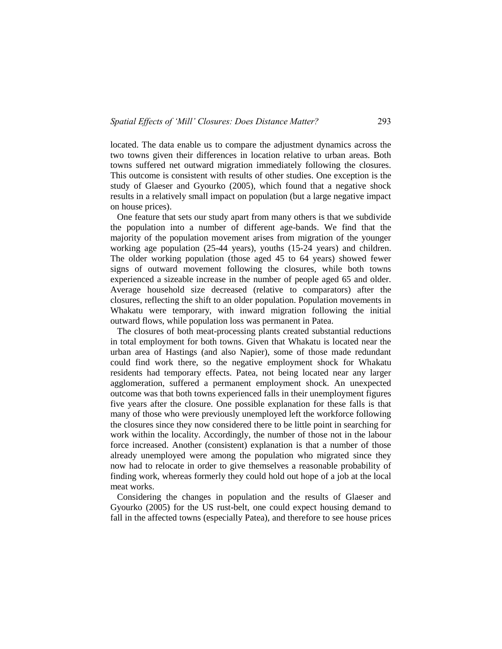located. The data enable us to compare the adjustment dynamics across the two towns given their differences in location relative to urban areas. Both towns suffered net outward migration immediately following the closures. This outcome is consistent with results of other studies. One exception is the study of Glaeser and Gyourko (2005), which found that a negative shock results in a relatively small impact on population (but a large negative impact on house prices).

 One feature that sets our study apart from many others is that we subdivide the population into a number of different age-bands. We find that the majority of the population movement arises from migration of the younger working age population (25-44 years), youths (15-24 years) and children. The older working population (those aged 45 to 64 years) showed fewer signs of outward movement following the closures, while both towns experienced a sizeable increase in the number of people aged 65 and older. Average household size decreased (relative to comparators) after the closures, reflecting the shift to an older population. Population movements in Whakatu were temporary, with inward migration following the initial outward flows, while population loss was permanent in Patea.

 The closures of both meat-processing plants created substantial reductions in total employment for both towns. Given that Whakatu is located near the urban area of Hastings (and also Napier), some of those made redundant could find work there, so the negative employment shock for Whakatu residents had temporary effects. Patea, not being located near any larger agglomeration, suffered a permanent employment shock. An unexpected outcome was that both towns experienced falls in their unemployment figures five years after the closure. One possible explanation for these falls is that many of those who were previously unemployed left the workforce following the closures since they now considered there to be little point in searching for work within the locality. Accordingly, the number of those not in the labour force increased. Another (consistent) explanation is that a number of those already unemployed were among the population who migrated since they now had to relocate in order to give themselves a reasonable probability of finding work, whereas formerly they could hold out hope of a job at the local meat works.

 Considering the changes in population and the results of Glaeser and Gyourko (2005) for the US rust-belt, one could expect housing demand to fall in the affected towns (especially Patea), and therefore to see house prices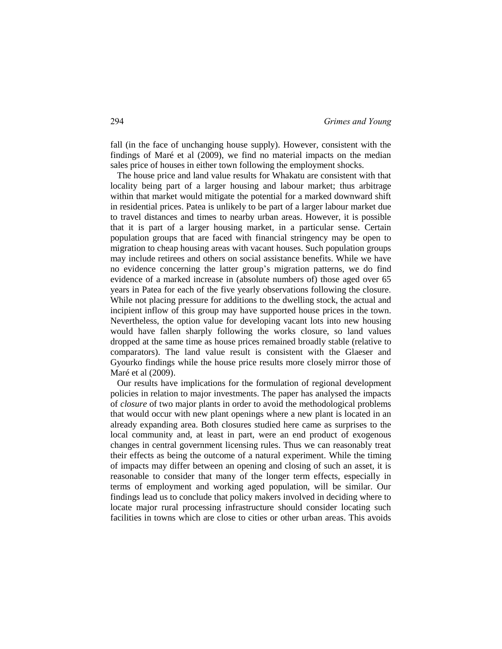fall (in the face of unchanging house supply). However, consistent with the findings of Maré et al (2009), we find no material impacts on the median sales price of houses in either town following the employment shocks.

 The house price and land value results for Whakatu are consistent with that locality being part of a larger housing and labour market; thus arbitrage within that market would mitigate the potential for a marked downward shift in residential prices. Patea is unlikely to be part of a larger labour market due to travel distances and times to nearby urban areas. However, it is possible that it is part of a larger housing market, in a particular sense. Certain population groups that are faced with financial stringency may be open to migration to cheap housing areas with vacant houses. Such population groups may include retirees and others on social assistance benefits. While we have no evidence concerning the latter group's migration patterns, we do find evidence of a marked increase in (absolute numbers of) those aged over 65 years in Patea for each of the five yearly observations following the closure. While not placing pressure for additions to the dwelling stock, the actual and incipient inflow of this group may have supported house prices in the town. Nevertheless, the option value for developing vacant lots into new housing would have fallen sharply following the works closure, so land values dropped at the same time as house prices remained broadly stable (relative to comparators). The land value result is consistent with the Glaeser and Gyourko findings while the house price results more closely mirror those of Maré et al (2009).

 Our results have implications for the formulation of regional development policies in relation to major investments. The paper has analysed the impacts of *closure* of two major plants in order to avoid the methodological problems that would occur with new plant openings where a new plant is located in an already expanding area. Both closures studied here came as surprises to the local community and, at least in part, were an end product of exogenous changes in central government licensing rules. Thus we can reasonably treat their effects as being the outcome of a natural experiment. While the timing of impacts may differ between an opening and closing of such an asset, it is reasonable to consider that many of the longer term effects, especially in terms of employment and working aged population, will be similar. Our findings lead us to conclude that policy makers involved in deciding where to locate major rural processing infrastructure should consider locating such facilities in towns which are close to cities or other urban areas. This avoids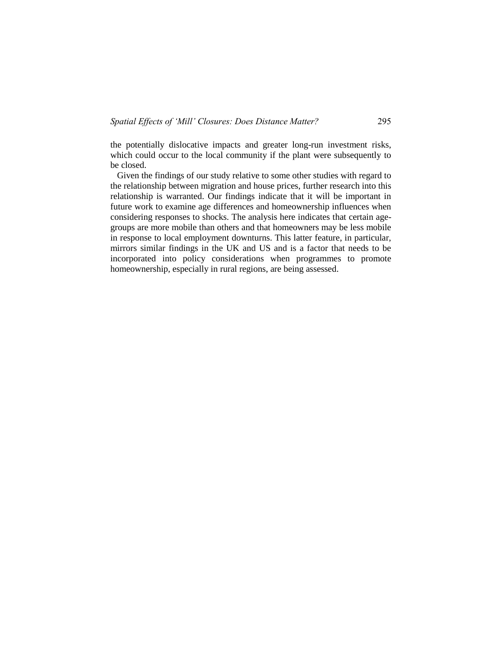the potentially dislocative impacts and greater long-run investment risks, which could occur to the local community if the plant were subsequently to be closed.

 Given the findings of our study relative to some other studies with regard to the relationship between migration and house prices, further research into this relationship is warranted. Our findings indicate that it will be important in future work to examine age differences and homeownership influences when considering responses to shocks. The analysis here indicates that certain agegroups are more mobile than others and that homeowners may be less mobile in response to local employment downturns. This latter feature, in particular, mirrors similar findings in the UK and US and is a factor that needs to be incorporated into policy considerations when programmes to promote homeownership, especially in rural regions, are being assessed.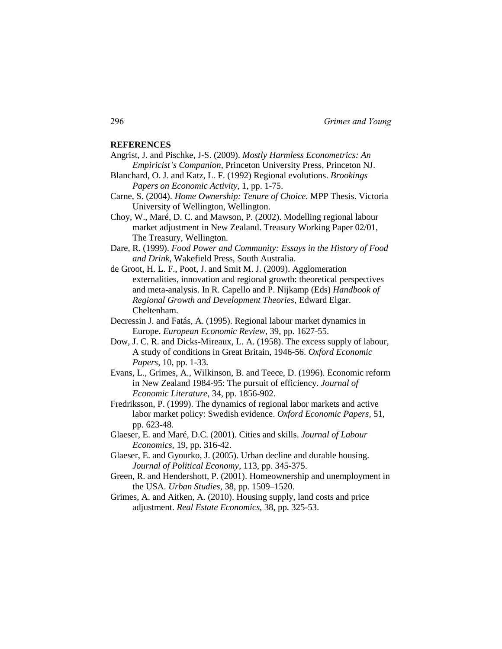#### **REFERENCES**

- Angrist, J. and Pischke, J-S. (2009). *Mostly Harmless Econometrics: An Empiricist's Companion*, Princeton University Press, Princeton NJ.
- Blanchard, O. J. and Katz, L. F. (1992) Regional evolutions. *Brookings Papers on Economic Activity,* 1, pp. 1-75.
- Carne, S. (2004). *Home Ownership: Tenure of Choice.* MPP Thesis. Victoria University of Wellington, Wellington.
- Choy, W., Maré, D. C. and Mawson, P. (2002). Modelling regional labour market adjustment in New Zealand. Treasury Working Paper 02/01, The Treasury, Wellington.
- Dare, R. (1999). *Food Power and Community: Essays in the History of Food and Drink*, Wakefield Press, South Australia.
- de Groot, H. L. F., Poot, J. and Smit M. J. (2009). Agglomeration externalities, innovation and regional growth: theoretical perspectives and meta-analysis. In R. Capello and P. Nijkamp (Eds) *Handbook of Regional Growth and Development Theories*, Edward Elgar. Cheltenham.
- Decressin J. and Fatás, A. (1995). Regional labour market dynamics in Europe. *European Economic Review,* 39, pp. 1627-55.
- Dow, J. C. R. and Dicks-Mireaux, L. A. (1958). The excess supply of labour, A study of conditions in Great Britain, 1946-56. *Oxford Economic Papers*, 10, pp. 1-33.
- Evans, L., Grimes, A., Wilkinson, B. and Teece, D. (1996). Economic reform in New Zealand 1984-95: The pursuit of efficiency. *Journal of Economic Literature*, 34, pp. 1856-902.
- Fredriksson, P. (1999). The dynamics of regional labor markets and active labor market policy: Swedish evidence. *Oxford Economic Papers,* 51, pp. 623-48.
- Glaeser, E. and Maré, D.C. (2001). Cities and skills. *Journal of Labour Economics,* 19, pp. 316-42.
- Glaeser, E. and Gyourko, J. (2005). Urban decline and durable housing. *Journal of Political Economy*, 113, pp. 345-375.
- Green, R. and Hendershott, P. (2001). Homeownership and unemployment in the USA. *Urban Studies,* 38, pp. 1509–1520.
- Grimes, A. and Aitken, A. (2010). Housing supply, land costs and price adjustment. *Real Estate Economics,* 38, pp. 325-53.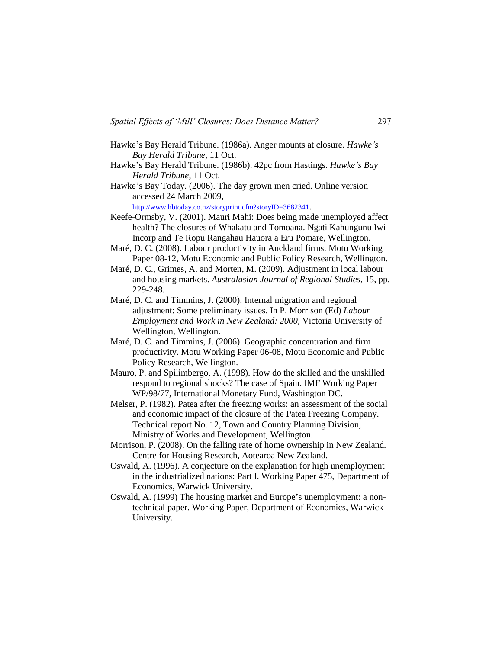- Hawke's Bay Herald Tribune. (1986a). Anger mounts at closure. *Hawke's Bay Herald Tribune*, 11 Oct.
- Hawke's Bay Herald Tribune. (1986b). 42pc from Hastings. *Hawke's Bay Herald Tribune*, 11 Oct.
- Hawke's Bay Today. (2006). The day grown men cried. Online version accessed 24 March 2009,

<http://www.hbtoday.co.nz/storyprint.cfm?storyID=3682341>.

- Keefe-Ormsby, V. (2001). Mauri Mahi: Does being made unemployed affect health? The closures of Whakatu and Tomoana. Ngati Kahungunu Iwi Incorp and Te Ropu Rangahau Hauora a Eru Pomare, Wellington.
- Maré, D. C. (2008). Labour productivity in Auckland firms. Motu Working Paper 08-12, Motu Economic and Public Policy Research, Wellington.
- Maré, D. C., Grimes, A. and Morten, M. (2009). Adjustment in local labour and housing markets. *Australasian Journal of Regional Studies*, 15, pp. 229-248.
- Maré, D. C. and Timmins, J. (2000). Internal migration and regional adjustment: Some preliminary issues. In P. Morrison (Ed) *Labour Employment and Work in New Zealand: 2000,* Victoria University of Wellington, Wellington.
- Maré, D. C. and Timmins, J. (2006). Geographic concentration and firm productivity. Motu Working Paper 06-08, Motu Economic and Public Policy Research, Wellington.
- Mauro, P. and Spilimbergo, A. (1998). How do the skilled and the unskilled respond to regional shocks? The case of Spain. IMF Working Paper WP/98/77, International Monetary Fund, Washington DC.
- Melser, P. (1982). Patea after the freezing works: an assessment of the social and economic impact of the closure of the Patea Freezing Company. Technical report No. 12, Town and Country Planning Division, Ministry of Works and Development, Wellington.
- Morrison, P. (2008). On the falling rate of home ownership in New Zealand*.*  Centre for Housing Research, Aotearoa New Zealand.
- Oswald, A. (1996). A conjecture on the explanation for high unemployment in the industrialized nations: Part I. Working Paper 475, Department of Economics, Warwick University.
- Oswald, A. (1999) The housing market and Europe's unemployment: a nontechnical paper. Working Paper, Department of Economics, Warwick University.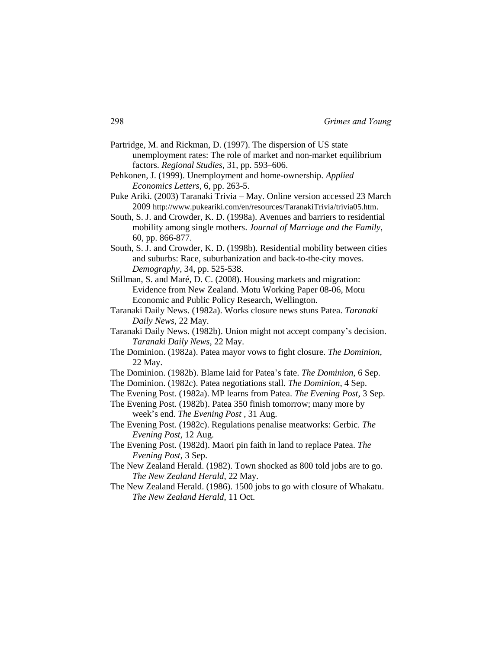- Partridge, M. and Rickman, D. (1997). The dispersion of US state unemployment rates: The role of market and non-market equilibrium factors. *Regional Studies,* 31, pp. 593–606.
- Pehkonen, J. (1999). Unemployment and home-ownership. *Applied Economics Letters,* 6, pp. 263-5.
- Puke Ariki. (2003) Taranaki Trivia May. Online version accessed 23 March 2009 http://www.pukeariki.com/en/resources/TaranakiTrivia/trivia05.htm.
- South, S. J. and Crowder, K. D. (1998a). Avenues and barriers to residential mobility among single mothers. *Journal of Marriage and the Family*, 60, pp. 866-877.
- South, S. J. and Crowder, K. D. (1998b). Residential mobility between cities and suburbs: Race, suburbanization and back-to-the-city moves. *Demography*, 34, pp. 525-538.
- Stillman, S. and Maré, D. C. (2008). Housing markets and migration: Evidence from New Zealand. Motu Working Paper 08-06, Motu Economic and Public Policy Research, Wellington.
- Taranaki Daily News. (1982a). Works closure news stuns Patea. *Taranaki Daily News*, 22 May.
- Taranaki Daily News. (1982b). Union might not accept company's decision. *Taranaki Daily News*, 22 May.
- The Dominion. (1982a). Patea mayor vows to fight closure. *The Dominion*, 22 May.
- The Dominion. (1982b). Blame laid for Patea's fate. *The Dominion*, 6 Sep.
- The Dominion. (1982c). Patea negotiations stall. *The Dominion*, 4 Sep.
- The Evening Post. (1982a). MP learns from Patea. *The Evening Post*, 3 Sep.
- The Evening Post. (1982b). Patea 350 finish tomorrow; many more by week's end. *The Evening Post* , 31 Aug.
- The Evening Post. (1982c). Regulations penalise meatworks: Gerbic. *The Evening Post*, 12 Aug.
- The Evening Post. (1982d). Maori pin faith in land to replace Patea. *The Evening Post*, 3 Sep.
- The New Zealand Herald. (1982). Town shocked as 800 told jobs are to go. *The New Zealand Herald*, 22 May.
- The New Zealand Herald. (1986). 1500 jobs to go with closure of Whakatu. *The New Zealand Herald*, 11 Oct.